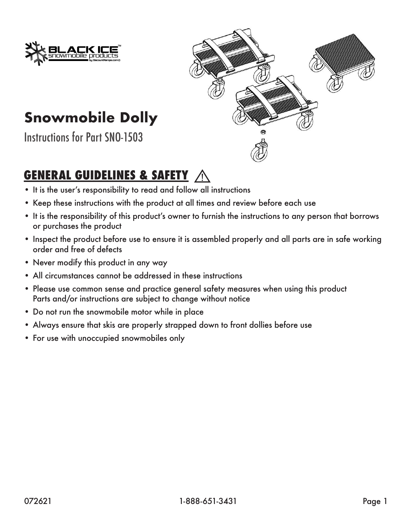



# **Snowmobile Dolly**

Instructions for Part SNO-1503

### **GENERAL GUIDELINES & SAFETY**

- It is the user's responsibility to read and follow all instructions
- Keep these instructions with the product at all times and review before each use
- It is the responsibility of this product's owner to furnish the instructions to any person that borrows or purchases the product
- Inspect the product before use to ensure it is assembled properly and all parts are in safe working order and free of defects
- Never modify this product in any way
- All circumstances cannot be addressed in these instructions
- Please use common sense and practice general safety measures when using this product Parts and/or instructions are subject to change without notice
- Do not run the snowmobile motor while in place
- Always ensure that skis are properly strapped down to front dollies before use
- For use with unoccupied snowmobiles only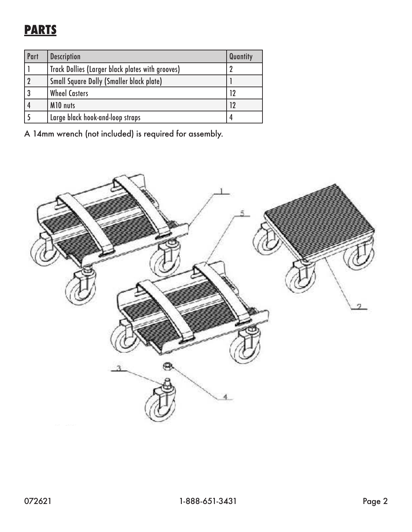## **PARTS**

| Part | <b>Description</b>                                      | Quantity |
|------|---------------------------------------------------------|----------|
|      | <b>Track Dollies (Larger black plates with grooves)</b> |          |
|      | <b>Small Square Dolly (Smaller black plate)</b>         |          |
|      | <b>Wheel Casters</b>                                    |          |
|      | M10 nuts                                                |          |
|      | Large black hook-and-loop straps                        | 4        |

A 14mm wrench (not included) is required for assembly.

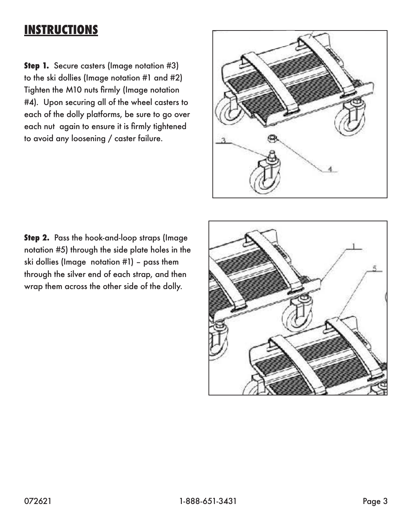### **INSTRUCTIONS**

**Step 1.** Secure casters (Image notation #3) to the ski dollies (Image notation #1 and #2) Tighten the M10 nuts firmly (Image notation #4). Upon securing all of the wheel casters to each of the dolly platforms, be sure to go over each nut again to ensure it is firmly tightened to avoid any loosening / caster failure.



**Step 2.** Pass the hook-and-loop straps (Image notation #5) through the side plate holes in the ski dollies (Image notation #1) – pass them through the silver end of each strap, and then wrap them across the other side of the dolly.